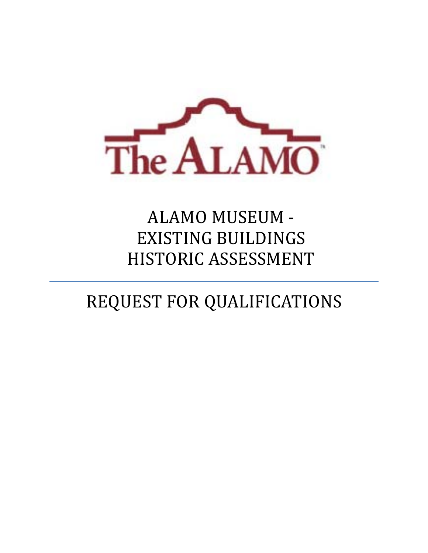

# ALAMO MUSEUM -EXISTING BUILDINGS HISTORIC ASSESSMENT

# REQUEST FOR QUALIFICATIONS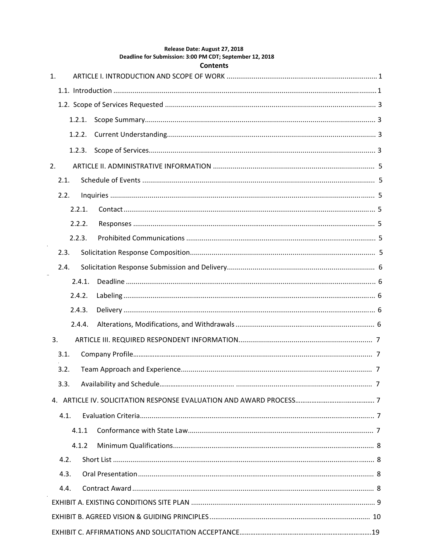| Deadline for Submission: 3:00 PM CDT; September 12, 2018<br><b>Contents</b> |  |  |  |  |
|-----------------------------------------------------------------------------|--|--|--|--|
| $\mathbf{1}$ .                                                              |  |  |  |  |
|                                                                             |  |  |  |  |
|                                                                             |  |  |  |  |
| 1.2.1.                                                                      |  |  |  |  |
| 1.2.2.                                                                      |  |  |  |  |
| 1.2.3.                                                                      |  |  |  |  |
| 2.                                                                          |  |  |  |  |
| 2.1.                                                                        |  |  |  |  |
| 2.2.                                                                        |  |  |  |  |
| 2.2.1.                                                                      |  |  |  |  |
| 2.2.2.                                                                      |  |  |  |  |
| 2.2.3.                                                                      |  |  |  |  |
| 2.3.                                                                        |  |  |  |  |
| 2.4.                                                                        |  |  |  |  |
| 2.4.1.                                                                      |  |  |  |  |
| 2.4.2.                                                                      |  |  |  |  |
| 2.4.3.                                                                      |  |  |  |  |
| 2.4.4.                                                                      |  |  |  |  |
| 3.                                                                          |  |  |  |  |
| 3.1.                                                                        |  |  |  |  |
|                                                                             |  |  |  |  |
| 3.3.                                                                        |  |  |  |  |
|                                                                             |  |  |  |  |
| 4.1.                                                                        |  |  |  |  |
| 4.1.1                                                                       |  |  |  |  |
| 4.1.2                                                                       |  |  |  |  |
| 4.2.                                                                        |  |  |  |  |
| 4.3.                                                                        |  |  |  |  |
| 4.4.                                                                        |  |  |  |  |
|                                                                             |  |  |  |  |
|                                                                             |  |  |  |  |
|                                                                             |  |  |  |  |

Release Date: August 27, 2018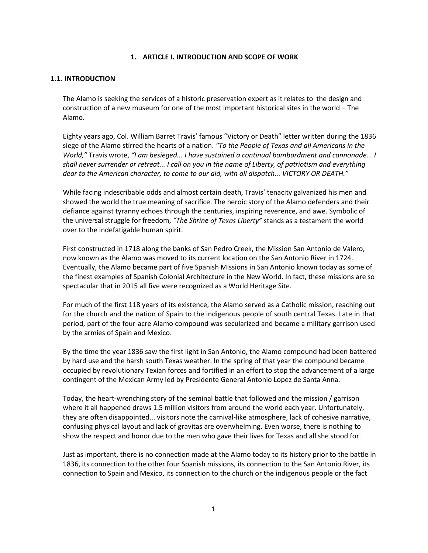#### **1. ARTICLE I. INTRODUCTION AND SCOPE OF WORK**

#### **1.1. INTRODUCTION**

The Alamo is seeking the services of a historic preservation expert as it relates to the design and construction of a new museum for one of the most important historical sites in the world – The Alamo.

Eighty years ago, Col. William Barret Travis' famous "Victory or Death" letter written during the 1836 siege of the Alamo stirred the hearts of a nation. *"To the People of Texas and all Americans in the World,"* Travis wrote, *"I am besieged... I have sustained a continual bombardment and cannonade... I* shall never surrender or retreat... I call on you in the name of Liberty, of patriotism and everything *dear to the American character, to come to our aid, with all dispatch... VICTORY OR DEATH."*

While facing indescribable odds and almost certain death, Travis' tenacity galvanized his men and showed the world the true meaning of sacrifice. The heroic story of the Alamo defenders and their defiance against tyranny echoes through the centuries, inspiring reverence, and awe. Symbolic of the universal struggle for freedom, *"The Shrine of Texas Liberty"* stands as a testament the world over to the indefatigable human spirit.

First constructed in 1718 along the banks of San Pedro Creek, the Mission San Antonio de Valero, now known as the Alamo was moved to its current location on the San Antonio River in 1724. Eventually, the Alamo became part of five Spanish Missions in San Antonio known today as some of the finest examples of Spanish Colonial Architecture in the New World. In fact, these missions are so spectacular that in 2015 all five were recognized as a World Heritage Site.

For much of the first 118 years of its existence, the Alamo served as a Catholic mission, reaching out for the church and the nation of Spain to the indigenous people of south central Texas. Late in that period, part of the four‐acre Alamo compound was secularized and became a military garrison used by the armies of Spain and Mexico.

By the time the year 1836 saw the first light in San Antonio, the Alamo compound had been battered by hard use and the harsh south Texas weather. In the spring of that year the compound became occupied by revolutionary Texian forces and fortified in an effort to stop the advancement of a large contingent of the Mexican Army led by Presidente General Antonio Lopez de Santa Anna.

Today, the heart‐wrenching story of the seminal battle that followed and the mission / garrison where it all happened draws 1.5 million visitors from around the world each year. Unfortunately, they are often disappointed... visitors note the carnival‐like atmosphere, lack of cohesive narrative, confusing physical layout and lack of gravitas are overwhelming. Even worse, there is nothing to show the respect and honor due to the men who gave their lives for Texas and all she stood for.

Just as important, there is no connection made at the Alamo today to its history prior to the battle in 1836, its connection to the other four Spanish missions, its connection to the San Antonio River, its connection to Spain and Mexico, its connection to the church or the indigenous people or the fact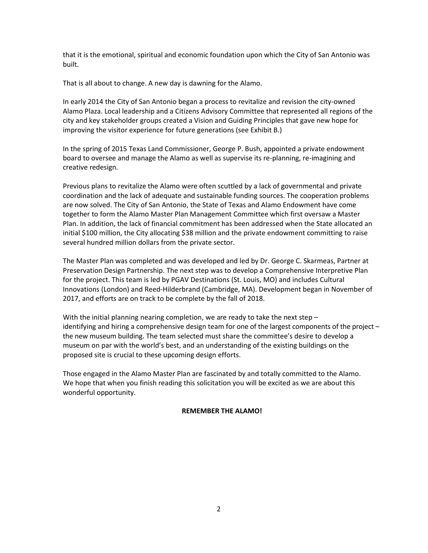that it is the emotional, spiritual and economic foundation upon which the City of San Antonio was built.

That is all about to change. A new day is dawning for the Alamo.

In early 2014 the City of San Antonio began a process to revitalize and revision the city‐owned Alamo Plaza. Local leadership and a Citizens Advisory Committee that represented all regions of the city and key stakeholder groups created a Vision and Guiding Principles that gave new hope for improving the visitor experience for future generations (see Exhibit B.)

In the spring of 2015 Texas Land Commissioner, George P. Bush, appointed a private endowment board to oversee and manage the Alamo as well as supervise its re‐planning, re‐imagining and creative redesign.

Previous plans to revitalize the Alamo were often scuttled by a lack of governmental and private coordination and the lack of adequate and sustainable funding sources. The cooperation problems are now solved. The City of San Antonio, the State of Texas and Alamo Endowment have come together to form the Alamo Master Plan Management Committee which first oversaw a Master Plan. In addition, the lack of financial commitment has been addressed when the State allocated an initial \$100 million, the City allocating \$38 million and the private endowment committing to raise several hundred million dollars from the private sector.

The Master Plan was completed and was developed and led by Dr. George C. Skarmeas, Partner at Preservation Design Partnership. The next step was to develop a Comprehensive Interpretive Plan for the project. This team is led by PGAV Destinations (St. Louis, MO) and includes Cultural Innovations (London) and Reed‐Hilderbrand (Cambridge, MA). Development began in November of 2017, and efforts are on track to be complete by the fall of 2018.

With the initial planning nearing completion, we are ready to take the next step  $$ identifying and hiring a comprehensive design team for one of the largest components of the project – the new museum building. The team selected must share the committee's desire to develop a museum on par with the world's best, and an understanding of the existing buildings on the proposed site is crucial to these upcoming design efforts.

Those engaged in the Alamo Master Plan are fascinated by and totally committed to the Alamo. We hope that when you finish reading this solicitation you will be excited as we are about this wonderful opportunity.

### **REMEMBER THE ALAMO!**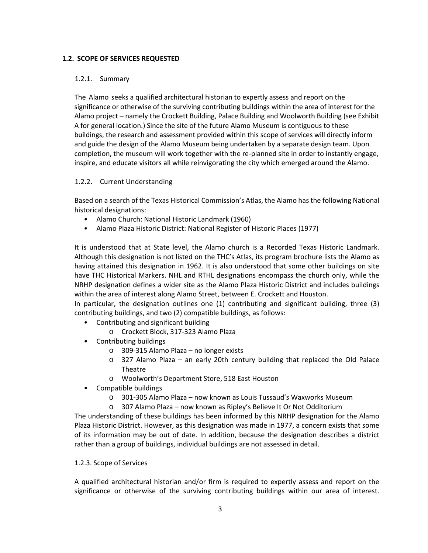#### **1.2. SCOPE OF SERVICES REQUESTED**

#### 1.2.1. Summary

The Alamo seeks a qualified architectural historian to expertly assess and report on the significance or otherwise of the surviving contributing buildings within the area of interest for the Alamo project – namely the Crockett Building, Palace Building and Woolworth Building (see Exhibit A for general location.) Since the site of the future Alamo Museum is contiguous to these buildings, the research and assessment provided within this scope of services will directly inform and guide the design of the Alamo Museum being undertaken by a separate design team. Upon completion, the museum will work together with the re-planned site in order to instantly engage, inspire, and educate visitors all while reinvigorating the city which emerged around the Alamo.

### 1.2.2. Current Understanding

Based on a search of the Texas Historical Commission's Atlas, the Alamo has the following National historical designations:

- Alamo Church: National Historic Landmark (1960)
- Alamo Plaza Historic District: National Register of Historic Places (1977)

It is understood that at State level, the Alamo church is a Recorded Texas Historic Landmark. Although this designation is not listed on the THC's Atlas, its program brochure lists the Alamo as having attained this designation in 1962. It is also understood that some other buildings on site have THC Historical Markers. NHL and RTHL designations encompass the church only, while the NRHP designation defines a wider site as the Alamo Plaza Historic District and includes buildings within the area of interest along Alamo Street, between E. Crockett and Houston.

In particular, the designation outlines one (1) contributing and significant building, three (3) contributing buildings, and two (2) compatible buildings, as follows:

- Contributing and significant building
	- o Crockett Block, 317‐323 Alamo Plaza
- Contributing buildings
	- o 309‐315 Alamo Plaza no longer exists
	- o 327 Alamo Plaza an early 20th century building that replaced the Old Palace Theatre
	- o Woolworth's Department Store, 518 East Houston
- Compatible buildings
	- o 301‐305 Alamo Plaza now known as Louis Tussaud's Waxworks Museum
	- o 307 Alamo Plaza now known as Ripley's Believe It Or Not Odditorium

The understanding of these buildings has been informed by this NRHP designation for the Alamo Plaza Historic District. However, as this designation was made in 1977, a concern exists that some of its information may be out of date. In addition, because the designation describes a district rather than a group of buildings, individual buildings are not assessed in detail.

### 1.2.3. Scope of Services

A qualified architectural historian and/or firm is required to expertly assess and report on the significance or otherwise of the surviving contributing buildings within our area of interest.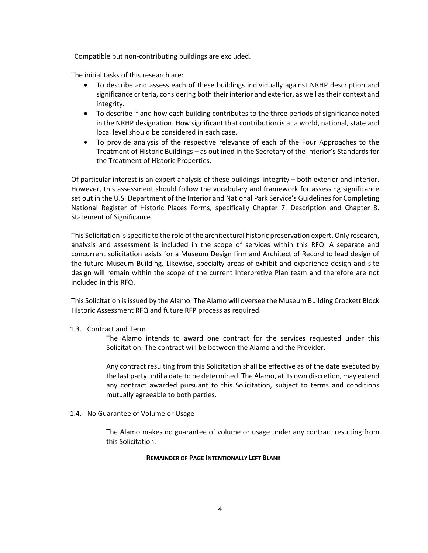Compatible but non‐contributing buildings are excluded.

The initial tasks of this research are:

- To describe and assess each of these buildings individually against NRHP description and significance criteria, considering both their interior and exterior, as well astheir context and integrity.
- To describe if and how each building contributes to the three periods of significance noted in the NRHP designation. How significant that contribution is at a world, national, state and local level should be considered in each case.
- To provide analysis of the respective relevance of each of the Four Approaches to the Treatment of Historic Buildings – as outlined in the Secretary of the Interior's Standards for the Treatment of Historic Properties.

Of particular interest is an expert analysis of these buildings' integrity – both exterior and interior. However, this assessment should follow the vocabulary and framework for assessing significance set out in the U.S. Department of the Interior and National Park Service's Guidelines for Completing National Register of Historic Places Forms, specifically Chapter 7. Description and Chapter 8. Statement of Significance.

This Solicitation isspecific to the role of the architectural historic preservation expert. Only research, analysis and assessment is included in the scope of services within this RFQ. A separate and concurrent solicitation exists for a Museum Design firm and Architect of Record to lead design of the future Museum Building. Likewise, specialty areas of exhibit and experience design and site design will remain within the scope of the current Interpretive Plan team and therefore are not included in this RFQ.

This Solicitation isissued by the Alamo. The Alamo will oversee the Museum Building Crockett Block Historic Assessment RFQ and future RFP process as required.

#### 1.3. Contract and Term

The Alamo intends to award one contract for the services requested under this Solicitation. The contract will be between the Alamo and the Provider.

Any contract resulting from this Solicitation shall be effective as of the date executed by the last party until a date to be determined. The Alamo, at its own discretion, may extend any contract awarded pursuant to this Solicitation, subject to terms and conditions mutually agreeable to both parties.

1.4. No Guarantee of Volume or Usage

The Alamo makes no guarantee of volume or usage under any contract resulting from this Solicitation.

#### **REMAINDER OF PAGE INTENTIONALLY LEFT BLANK**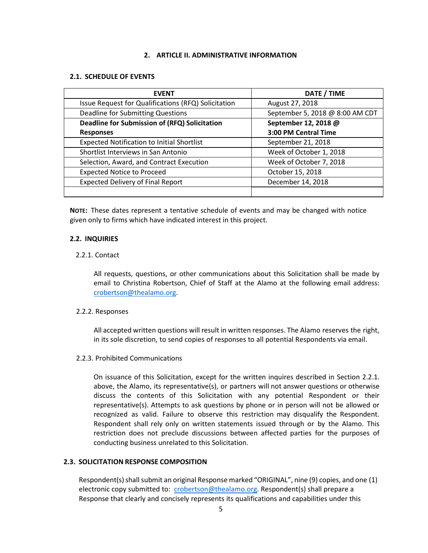#### **2. ARTICLE II. ADMINISTRATIVE INFORMATION**

#### **2.1. SCHEDULE OF EVENTS**

| <b>EVENT</b>                                        | DATE / TIME                     |
|-----------------------------------------------------|---------------------------------|
| Issue Request for Qualifications (RFQ) Solicitation | August 27, 2018                 |
| Deadline for Submitting Questions                   | September 5, 2018 @ 8:00 AM CDT |
| Deadline for Submission of (RFQ) Solicitation       | September 12, 2018 @            |
| <b>Responses</b>                                    | 3:00 PM Central Time            |
| <b>Expected Notification to Initial Shortlist</b>   | September 21, 2018              |
| Shortlist Interviews in San Antonio                 | Week of October 1, 2018         |
| Selection, Award, and Contract Execution            | Week of October 7, 2018         |
| <b>Expected Notice to Proceed</b>                   | October 15, 2018                |
| <b>Expected Delivery of Final Report</b>            | December 14, 2018               |
|                                                     |                                 |

NOTE: These dates represent a tentative schedule of events and may be changed with notice given only to firms which have indicated interest in this project.

#### **2.2. INQUIRIES**

#### 2.2.1. Contact

All requests, questions, or other communications about this Solicitation shall be made by email to Christina Robertson, Chief of Staff at the Alamo at the following email address: crobertson@thealamo.org.

#### 2.2.2. Responses

All accepted written questions will result in written responses. The Alamo reserves the right, in its sole discretion, to send copies of responses to all potential Respondents via email.

#### 2.2.3. Prohibited Communications

On issuance of this Solicitation, except for the written inquires described in Section 2.2.1. above, the Alamo, its representative(s), or partners will not answer questions or otherwise discuss the contents of this Solicitation with any potential Respondent or their representative(s). Attempts to ask questions by phone or in person will not be allowed or recognized as valid. Failure to observe this restriction may disqualify the Respondent. Respondent shall rely only on written statements issued through or by the Alamo. This restriction does not preclude discussions between affected parties for the purposes of conducting business unrelated to this Solicitation.

#### **2.3. SOLICITATION RESPONSE COMPOSITION**

Respondent(s) shall submit an original Response marked "ORIGINAL", nine (9) copies, and one (1) electronic copy submitted to: crobertson@thealamo.org. Respondent(s) shall prepare a Response that clearly and concisely represents its qualifications and capabilities under this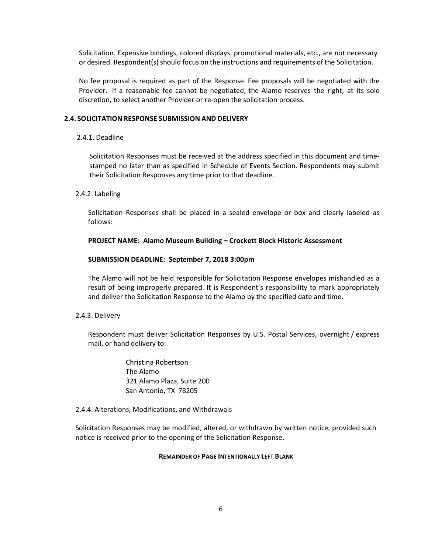Solicitation. Expensive bindings, colored displays, promotional materials, etc., are not necessary or desired. Respondent(s) should focus on the instructions and requirements of the Solicitation.

No fee proposal is required as part of the Response. Fee proposals will be negotiated with the Provider. If a reasonable fee cannot be negotiated, the Alamo reserves the right, at its sole discretion, to select another Provider or re‐open the solicitation process.

#### **2.4. SOLICITATION RESPONSE SUBMISSION AND DELIVERY**

#### 2.4.1. Deadline

Solicitation Responses must be received at the address specified in this document and time‐ stamped no later than as specified in Schedule of Events Section. Respondents may submit their Solicitation Responses any time prior to that deadline.

#### 2.4.2. Labeling

Solicitation Responses shall be placed in a sealed envelope or box and clearly labeled as follows:

#### **PROJECT NAME: Alamo Museum Building – Crockett Block Historic Assessment**

#### **SUBMISSION DEADLINE: September 7, 2018 3:00pm**

The Alamo will not be held responsible for Solicitation Response envelopes mishandled as a result of being improperly prepared. It is Respondent's responsibility to mark appropriately and deliver the Solicitation Response to the Alamo by the specified date and time.

#### 2.4.3. Delivery

Respondent must deliver Solicitation Responses by U.S. Postal Services, overnight / express mail, or hand delivery to:

> Christina Robertson The Alamo 321 Alamo Plaza, Suite 200 San Antonio, TX 78205

#### 2.4.4. Alterations, Modifications, and Withdrawals

Solicitation Responses may be modified, altered, or withdrawn by written notice, provided such notice is received prior to the opening of the Solicitation Response.

#### **REMAINDER OF PAGE INTENTIONALLY LEFT BLANK**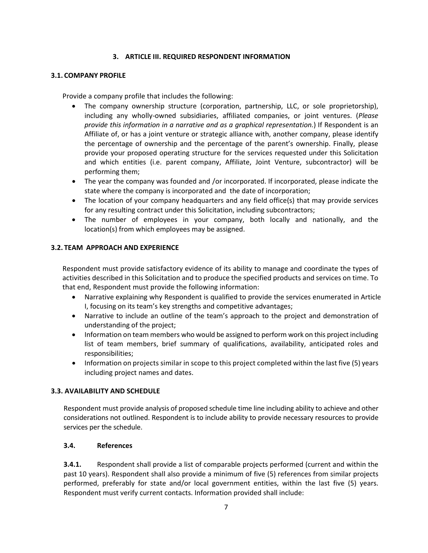### **3. ARTICLE III. REQUIRED RESPONDENT INFORMATION**

#### **3.1. COMPANY PROFILE**

Provide a company profile that includes the following:

- The company ownership structure (corporation, partnership, LLC, or sole proprietorship), including any wholly‐owned subsidiaries, affiliated companies, or joint ventures. (*Please provide this information in a narrative and as a graphical representation.*) If Respondent is an Affiliate of, or has a joint venture or strategic alliance with, another company, please identify the percentage of ownership and the percentage of the parent's ownership. Finally, please provide your proposed operating structure for the services requested under this Solicitation and which entities (i.e. parent company, Affiliate, Joint Venture, subcontractor) will be performing them;
- The year the company was founded and /or incorporated. If incorporated, please indicate the state where the company is incorporated and the date of incorporation;
- The location of your company headquarters and any field office(s) that may provide services for any resulting contract under this Solicitation, including subcontractors;
- The number of employees in your company, both locally and nationally, and the location(s) from which employees may be assigned.

### **3.2. TEAM APPROACH AND EXPERIENCE**

Respondent must provide satisfactory evidence of its ability to manage and coordinate the types of activities described in this Solicitation and to produce the specified products and services on time. To that end, Respondent must provide the following information:

- Narrative explaining why Respondent is qualified to provide the services enumerated in Article I, focusing on its team's key strengths and competitive advantages;
- Narrative to include an outline of the team's approach to the project and demonstration of understanding of the project;
- Information on team members who would be assigned to perform work on this project including list of team members, brief summary of qualifications, availability, anticipated roles and responsibilities;
- Information on projects similar in scope to this project completed within the last five (5) years including project names and dates.

### **3.3. AVAILABILITY AND SCHEDULE**

Respondent must provide analysis of proposed schedule time line including ability to achieve and other considerations not outlined. Respondent is to include ability to provide necessary resources to provide services per the schedule.

### **3.4. References**

**3.4.1.** Respondent shall provide a list of comparable projects performed (current and within the past 10 years). Respondent shall also provide a minimum of five (5) references from similar projects performed, preferably for state and/or local government entities, within the last five (5) years. Respondent must verify current contacts. Information provided shall include: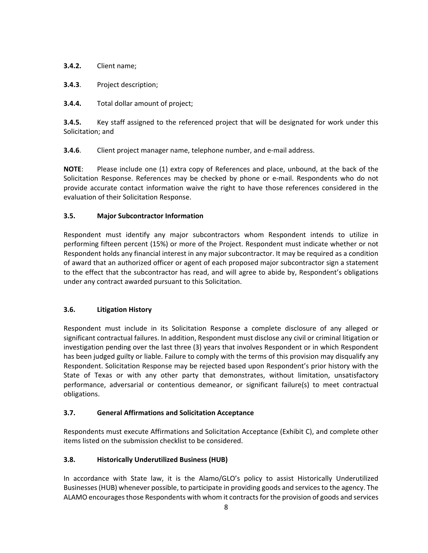**3.4.2.** Client name;

**3.4.3**. Project description;

**3.4.4.** Total dollar amount of project;

**3.4.5.** Key staff assigned to the referenced project that will be designated for work under this Solicitation; and

**3.4.6.** Client project manager name, telephone number, and e-mail address.

**NOTE**: Please include one (1) extra copy of References and place, unbound, at the back of the Solicitation Response. References may be checked by phone or e‐mail. Respondents who do not provide accurate contact information waive the right to have those references considered in the evaluation of their Solicitation Response.

# **3.5. Major Subcontractor Information**

Respondent must identify any major subcontractors whom Respondent intends to utilize in performing fifteen percent (15%) or more of the Project. Respondent must indicate whether or not Respondent holds any financial interest in any major subcontractor. It may be required as a condition of award that an authorized officer or agent of each proposed major subcontractor sign a statement to the effect that the subcontractor has read, and will agree to abide by, Respondent's obligations under any contract awarded pursuant to this Solicitation.

### **3.6. Litigation History**

Respondent must include in its Solicitation Response a complete disclosure of any alleged or significant contractual failures. In addition, Respondent must disclose any civil or criminal litigation or investigation pending over the last three (3) years that involves Respondent or in which Respondent has been judged guilty or liable. Failure to comply with the terms of this provision may disqualify any Respondent. Solicitation Response may be rejected based upon Respondent's prior history with the State of Texas or with any other party that demonstrates, without limitation, unsatisfactory performance, adversarial or contentious demeanor, or significant failure(s) to meet contractual obligations.

### **3.7. General Affirmations and Solicitation Acceptance**

Respondents must execute Affirmations and Solicitation Acceptance (Exhibit C), and complete other items listed on the submission checklist to be considered.

### **3.8. Historically Underutilized Business (HUB)**

In accordance with State law, it is the Alamo/GLO's policy to assist Historically Underutilized Businesses (HUB) whenever possible, to participate in providing goods and services to the agency. The ALAMO encouragesthose Respondents with whom it contractsfor the provision of goods and services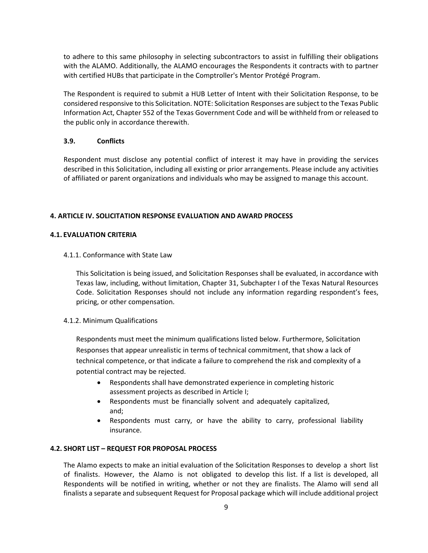to adhere to this same philosophy in selecting subcontractors to assist in fulfilling their obligations with the ALAMO. Additionally, the ALAMO encourages the Respondents it contracts with to partner with certified HUBs that participate in the Comptroller's Mentor Protégé Program.

The Respondent is required to submit a HUB Letter of Intent with their Solicitation Response, to be considered responsive to this Solicitation. NOTE: Solicitation Responses are subject to the Texas Public Information Act, Chapter 552 of the Texas Government Code and will be withheld from or released to the public only in accordance therewith.

#### **3.9. Conflicts**

Respondent must disclose any potential conflict of interest it may have in providing the services described in this Solicitation, including all existing or prior arrangements. Please include any activities of affiliated or parent organizations and individuals who may be assigned to manage this account.

#### **4. ARTICLE IV. SOLICITATION RESPONSE EVALUATION AND AWARD PROCESS**

#### **4.1. EVALUATION CRITERIA**

4.1.1. Conformance with State Law

This Solicitation is being issued, and Solicitation Responses shall be evaluated, in accordance with Texas law, including, without limitation, Chapter 31, Subchapter I of the Texas Natural Resources Code. Solicitation Responses should not include any information regarding respondent's fees, pricing, or other compensation.

### 4.1.2. Minimum Qualifications

Respondents must meet the minimum qualifications listed below. Furthermore, Solicitation Responses that appear unrealistic in terms of technical commitment, that show a lack of technical competence, or that indicate a failure to comprehend the risk and complexity of a potential contract may be rejected.

- Respondents shall have demonstrated experience in completing historic assessment projects as described in Article I;
- Respondents must be financially solvent and adequately capitalized, and;
- Respondents must carry, or have the ability to carry, professional liability insurance.

### **4.2. SHORT LIST – REQUEST FOR PROPOSAL PROCESS**

The Alamo expects to make an initial evaluation of the Solicitation Responses to develop a short list of finalists. However, the Alamo is not obligated to develop this list. If a list is developed, all Respondents will be notified in writing, whether or not they are finalists. The Alamo will send all finalists a separate and subsequent Request for Proposal package which will include additional project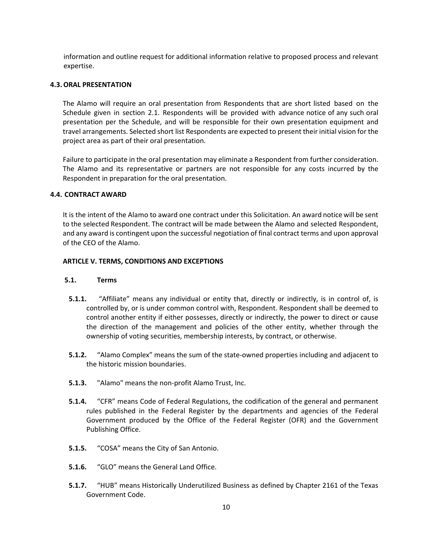information and outline request for additional information relative to proposed process and relevant expertise.

#### **4.3. ORAL PRESENTATION**

The Alamo will require an oral presentation from Respondents that are short listed based on the Schedule given in section 2.1. Respondents will be provided with advance notice of any such oral presentation per the Schedule, and will be responsible for their own presentation equipment and travel arrangements. Selected short list Respondents are expected to present their initial vision for the project area as part of their oral presentation.

Failure to participate in the oral presentation may eliminate a Respondent from further consideration. The Alamo and its representative or partners are not responsible for any costs incurred by the Respondent in preparation for the oral presentation.

#### **4.4. CONTRACT AWARD**

It is the intent of the Alamo to award one contract under this Solicitation. An award notice will be sent to the selected Respondent. The contract will be made between the Alamo and selected Respondent, and any award is contingent upon the successful negotiation of final contract terms and upon approval of the CEO of the Alamo.

#### **ARTICLE V. TERMS, CONDITIONS AND EXCEPTIONS**

#### **5.1. Terms**

- **5.1.1.** "Affiliate" means any individual or entity that, directly or indirectly, is in control of, is controlled by, or is under common control with, Respondent. Respondent shall be deemed to control another entity if either possesses, directly or indirectly, the power to direct or cause the direction of the management and policies of the other entity, whether through the ownership of voting securities, membership interests, by contract, or otherwise.
- **5.1.2.** "Alamo Complex" means the sum of the state‐owned properties including and adjacent to the historic mission boundaries.
- **5.1.3.** "Alamo" means the non‐profit Alamo Trust, Inc.
- **5.1.4.** "CFR" means Code of Federal Regulations, the codification of the general and permanent rules published in the Federal Register by the departments and agencies of the Federal Government produced by the Office of the Federal Register (OFR) and the Government Publishing Office.
- **5.1.5.** "COSA" means the City of San Antonio.
- **5.1.6.** "GLO" means the General Land Office.
- **5.1.7.** "HUB" means Historically Underutilized Business as defined by Chapter 2161 of the Texas Government Code.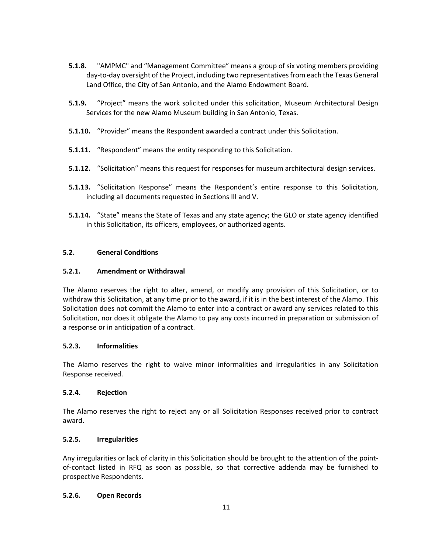- **5.1.8.** "AMPMC" and "Management Committee" means a group of six voting members providing day‐to‐day oversight of the Project, including two representativesfrom each the Texas General Land Office, the City of San Antonio, and the Alamo Endowment Board.
- **5.1.9.** "Project" means the work solicited under this solicitation, Museum Architectural Design Services for the new Alamo Museum building in San Antonio, Texas.
- **5.1.10.** "Provider" means the Respondent awarded a contract under this Solicitation.
- **5.1.11.** "Respondent" means the entity responding to this Solicitation.
- **5.1.12.** "Solicitation" means this request for responses for museum architectural design services.
- **5.1.13.** "Solicitation Response" means the Respondent's entire response to this Solicitation, including all documents requested in Sections III and V.
- **5.1.14.** "State" means the State of Texas and any state agency; the GLO or state agency identified in this Solicitation, its officers, employees, or authorized agents.

### **5.2. General Conditions**

### **5.2.1. Amendment or Withdrawal**

The Alamo reserves the right to alter, amend, or modify any provision of this Solicitation, or to withdraw this Solicitation, at any time prior to the award, if it is in the best interest of the Alamo. This Solicitation does not commit the Alamo to enter into a contract or award any services related to this Solicitation, nor does it obligate the Alamo to pay any costs incurred in preparation or submission of a response or in anticipation of a contract.

### **5.2.3. Informalities**

The Alamo reserves the right to waive minor informalities and irregularities in any Solicitation Response received.

### **5.2.4. Rejection**

The Alamo reserves the right to reject any or all Solicitation Responses received prior to contract award.

### **5.2.5. Irregularities**

Any irregularities or lack of clarity in this Solicitation should be brought to the attention of the point‐ of‐contact listed in RFQ as soon as possible, so that corrective addenda may be furnished to prospective Respondents.

### **5.2.6. Open Records**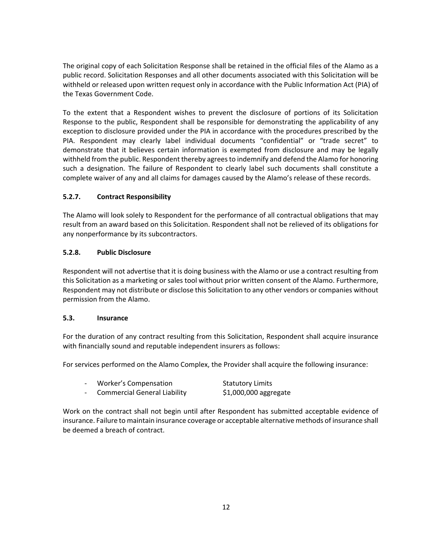The original copy of each Solicitation Response shall be retained in the official files of the Alamo as a public record. Solicitation Responses and all other documents associated with this Solicitation will be withheld or released upon written request only in accordance with the Public Information Act (PIA) of the Texas Government Code.

To the extent that a Respondent wishes to prevent the disclosure of portions of its Solicitation Response to the public, Respondent shall be responsible for demonstrating the applicability of any exception to disclosure provided under the PIA in accordance with the procedures prescribed by the PIA. Respondent may clearly label individual documents "confidential" or "trade secret" to demonstrate that it believes certain information is exempted from disclosure and may be legally withheld from the public. Respondent thereby agreesto indemnify and defend the Alamo for honoring such a designation. The failure of Respondent to clearly label such documents shall constitute a complete waiver of any and all claims for damages caused by the Alamo's release of these records.

# **5.2.7. Contract Responsibility**

The Alamo will look solely to Respondent for the performance of all contractual obligations that may result from an award based on this Solicitation. Respondent shall not be relieved of its obligations for any nonperformance by its subcontractors.

### **5.2.8. Public Disclosure**

Respondent will not advertise that it is doing business with the Alamo or use a contract resulting from this Solicitation as a marketing or sales tool without prior written consent of the Alamo. Furthermore, Respondent may not distribute or disclose this Solicitation to any other vendors or companies without permission from the Alamo.

### **5.3. Insurance**

For the duration of any contract resulting from this Solicitation, Respondent shall acquire insurance with financially sound and reputable independent insurers as follows:

For services performed on the Alamo Complex, the Provider shall acquire the following insurance:

| <b>Worker's Compensation</b><br><b>Statutory Limits</b> |  |
|---------------------------------------------------------|--|
|                                                         |  |

‐ Commercial General Liability \$1,000,000 aggregate

Work on the contract shall not begin until after Respondent has submitted acceptable evidence of insurance. Failure to maintain insurance coverage or acceptable alternative methods of insurance shall be deemed a breach of contract.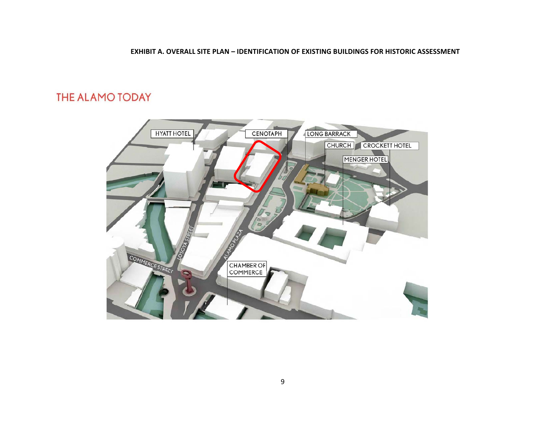#### **EXHIBIT A. OVERALL SITE PLAN – IDENTIFICATION OF EXISTING BUILDINGS FOR HISTORIC ASSESSMENT**

# THE ALAMO TODAY

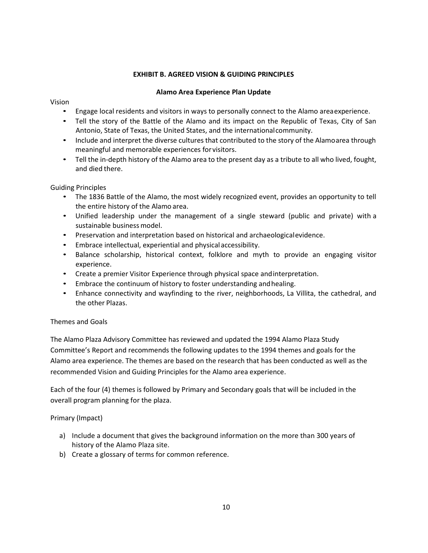# **EXHIBIT B. AGREED VISION & GUIDING PRINCIPLES**

### **Alamo Area Experience Plan Update**

#### Vision

- Engage local residents and visitors in ways to personally connect to the Alamo areaexperience.
- Tell the story of the Battle of the Alamo and its impact on the Republic of Texas, City of San Antonio, State of Texas, the United States, and the internationalcommunity.
- Include and interpret the diverse cultures that contributed to the story of the Alamoarea through meaningful and memorable experiences forvisitors.
- Tell the in-depth history of the Alamo area to the present day as a tribute to all who lived, fought, and died there.

### Guiding Principles

- The 1836 Battle of the Alamo, the most widely recognized event, provides an opportunity to tell the entire history of the Alamo area.
- Unified leadership under the management of a single steward (public and private) with a sustainable business model.
- Preservation and interpretation based on historical and archaeologicalevidence.
- Embrace intellectual, experiential and physical accessibility.
- Balance scholarship, historical context, folklore and myth to provide an engaging visitor experience.
- Create a premier Visitor Experience through physical space andinterpretation.
- Embrace the continuum of history to foster understanding andhealing.
- Enhance connectivity and wayfinding to the river, neighborhoods, La Villita, the cathedral, and the other Plazas.

### Themes and Goals

The Alamo Plaza Advisory Committee has reviewed and updated the 1994 Alamo Plaza Study Committee's Report and recommends the following updates to the 1994 themes and goals for the Alamo area experience. The themes are based on the research that has been conducted as well as the recommended Vision and Guiding Principles for the Alamo area experience.

Each of the four (4) themes is followed by Primary and Secondary goals that will be included in the overall program planning for the plaza.

### Primary (Impact)

- a) Include a document that gives the background information on the more than 300 years of history of the Alamo Plaza site.
- b) Create a glossary of terms for common reference.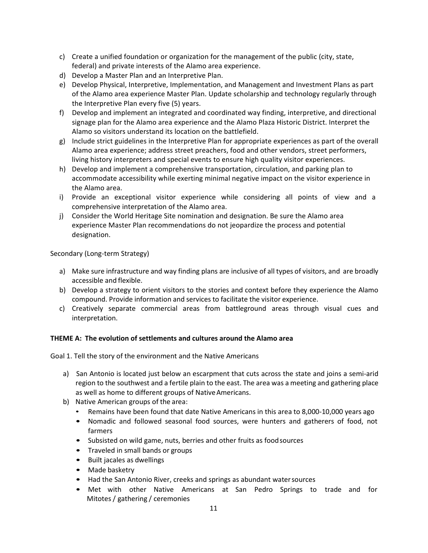- c) Create a unified foundation or organization for the management of the public (city, state, federal) and private interests of the Alamo area experience.
- d) Develop a Master Plan and an Interpretive Plan.
- e) Develop Physical, Interpretive, Implementation, and Management and Investment Plans as part of the Alamo area experience Master Plan. Update scholarship and technology regularly through the Interpretive Plan every five (5) years.
- f) Develop and implement an integrated and coordinated way finding, interpretive, and directional signage plan for the Alamo area experience and the Alamo Plaza Historic District. Interpret the Alamo so visitors understand its location on the battlefield.
- g) Include strict guidelines in the Interpretive Plan for appropriate experiences as part of the overall Alamo area experience; address street preachers, food and other vendors, street performers, living history interpreters and special events to ensure high quality visitor experiences.
- h) Develop and implement a comprehensive transportation, circulation, and parking plan to accommodate accessibility while exerting minimal negative impact on the visitor experience in the Alamo area.
- i) Provide an exceptional visitor experience while considering all points of view and a comprehensive interpretation of the Alamo area.
- j) Consider the World Heritage Site nomination and designation. Be sure the Alamo area experience Master Plan recommendations do not jeopardize the process and potential designation.

Secondary (Long‐term Strategy)

- a) Make sure infrastructure and way finding plans are inclusive of all types of visitors, and are broadly accessible and flexible.
- b) Develop a strategy to orient visitors to the stories and context before they experience the Alamo compound. Provide information and services to facilitate the visitor experience.
- c) Creatively separate commercial areas from battleground areas through visual cues and interpretation.

#### **THEME A: The evolution of settlements and cultures around the Alamo area**

Goal 1. Tell the story of the environment and the Native Americans

- a) San Antonio is located just below an escarpment that cuts across the state and joins a semi-arid region to the southwest and a fertile plain to the east. The area was a meeting and gathering place as well as home to different groups of NativeAmericans.
- b) Native American groups of the area:
	- Remains have been found that date Native Americans in this area to 8,000-10,000 years ago
	- Nomadic and followed seasonal food sources, were hunters and gatherers of food, not farmers
	- Subsisted on wild game, nuts, berries and other fruits as foodsources
	- Traveled in small bands or groups
	- Built jacales as dwellings
	- Made basketry
	- Had the San Antonio River, creeks and springs as abundant watersources
	- Met with other Native Americans at San Pedro Springs to trade and for Mitotes / gathering / ceremonies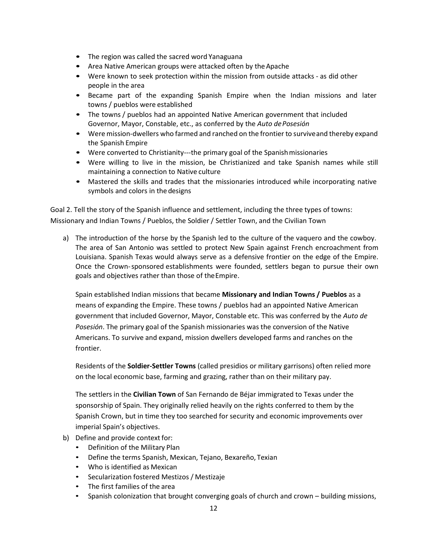- The region was called the sacred word Yanaguana
- Area Native American groups were attacked often by the Apache
- Were known to seek protection within the mission from outside attacks as did other people in the area
- Became part of the expanding Spanish Empire when the Indian missions and later towns / pueblos were established
- The towns / pueblos had an appointed Native American government that included Governor, Mayor, Constable, etc., as conferred by the *Auto dePosesión*
- Were mission‐dwellers who farmed and ranched on the frontier to surviveand thereby expand the Spanish Empire
- Were converted to Christianity---the primary goal of the Spanish missionaries
- Were willing to live in the mission, be Christianized and take Spanish names while still maintaining a connection to Native culture
- Mastered the skills and trades that the missionaries introduced while incorporating native symbols and colors in the designs

Goal 2. Tell the story of the Spanish influence and settlement, including the three types of towns: Missionary and Indian Towns / Pueblos, the Soldier / Settler Town, and the Civilian Town

a) The introduction of the horse by the Spanish led to the culture of the vaquero and the cowboy. The area of San Antonio was settled to protect New Spain against French encroachment from Louisiana. Spanish Texas would always serve as a defensive frontier on the edge of the Empire. Once the Crown‐sponsored establishments were founded, settlers began to pursue their own goals and objectives rather than those of theEmpire.

Spain established Indian missions that became **Missionary and Indian Towns / Pueblos** as a means of expanding the Empire. These towns / pueblos had an appointed Native American government that included Governor, Mayor, Constable etc. This was conferred by the *Auto de Posesión*. The primary goal of the Spanish missionaries was the conversion of the Native Americans. To survive and expand, mission dwellers developed farms and ranches on the frontier.

Residents of the **Soldier‐Settler Towns** (called presidios or military garrisons) often relied more on the local economic base, farming and grazing, rather than on their military pay.

The settlers in the **Civilian Town** of San Fernando de Béjar immigrated to Texas under the sponsorship of Spain. They originally relied heavily on the rights conferred to them by the Spanish Crown, but in time they too searched for security and economic improvements over imperial Spain's objectives.

- b) Define and provide context for:
	- Definition of the Military Plan
	- Define the terms Spanish, Mexican, Tejano, Bexareño, Texian
	- Who is identified as Mexican
	- Secularization fostered Mestizos / Mestizaje
	- The first families of the area
	- Spanish colonization that brought converging goals of church and crown building missions,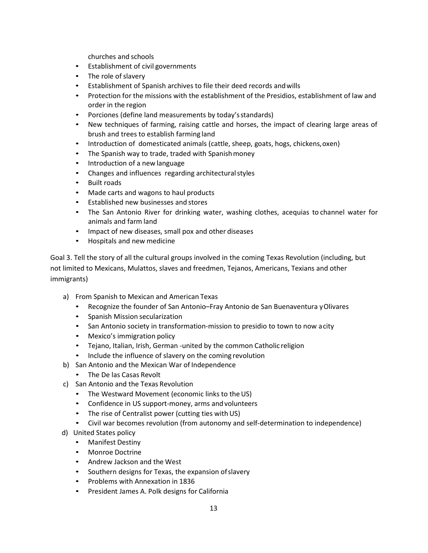churches and schools

- Establishment of civil governments
- The role of slavery
- Establishment of Spanish archives to file their deed records andwills
- Protection for the missions with the establishment of the Presidios, establishment of law and order in the region
- Porciones (define land measurements by today'sstandards)
- New techniques of farming, raising cattle and horses, the impact of clearing large areas of brush and trees to establish farming land
- Introduction of domesticated animals (cattle, sheep, goats, hogs, chickens,oxen)
- The Spanish way to trade, traded with Spanish money
- Introduction of a new language
- Changes and influences regarding architecturalstyles
- Built roads
- Made carts and wagons to haul products
- Established new businesses and stores
- The San Antonio River for drinking water, washing clothes, acequias to channel water for animals and farm land
- Impact of new diseases, small pox and other diseases
- Hospitals and new medicine

Goal 3. Tell the story of all the cultural groups involved in the coming Texas Revolution (including, but not limited to Mexicans, Mulattos, slaves and freedmen, Tejanos, Americans, Texians and other immigrants)

- a) From Spanish to Mexican and American Texas
	- Recognize the founder of San Antonio–Fray Antonio de San Buenaventura yOlivares
	- Spanish Mission secularization
	- San Antonio society in transformation-mission to presidio to town to now acity
	- Mexico's immigration policy
	- Tejano, Italian, Irish, German ‐united by the common Catholic religion
	- Include the influence of slavery on the coming revolution
- b) San Antonio and the Mexican War of Independence
	- The De las Casas Revolt
- c) San Antonio and the Texas Revolution
	- The Westward Movement (economic links to the US)
	- Confidence in US support-money, arms and volunteers
	- The rise of Centralist power (cutting ties with US)
	- Civil war becomes revolution (from autonomy and self-determination to independence)
- d) United States policy
	- Manifest Destiny
	- Monroe Doctrine
	- Andrew Jackson and the West
	- Southern designs for Texas, the expansion ofslavery
	- Problems with Annexation in 1836
	- President James A. Polk designs for California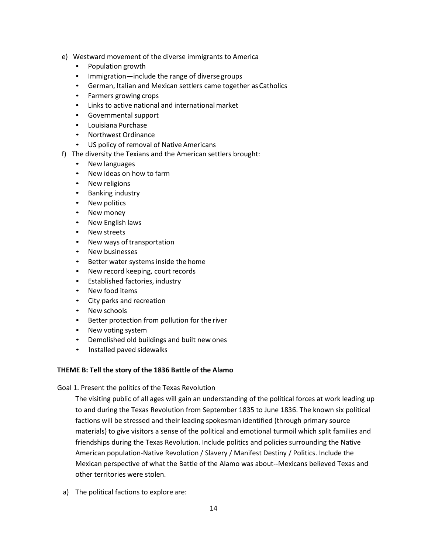- e) Westward movement of the diverse immigrants to America
	- Population growth
	- Immigration—include the range of diverse groups
	- German, Italian and Mexican settlers came together as Catholics
	- Farmers growing crops
	- Links to active national and international market
	- Governmental support
	- Louisiana Purchase
	- Northwest Ordinance
	- US policy of removal of Native Americans
- f) The diversity the Texians and the American settlers brought:
	- New languages
	- New ideas on how to farm
	- New religions
	- Banking industry
	- New politics
	- New money
	- New English laws
	- New streets
	- New ways of transportation
	- New businesses
	- Better water systems inside the home
	- New record keeping, court records
	- Established factories, industry
	- New food items
	- City parks and recreation
	- New schools
	- Better protection from pollution for the river
	- New voting system
	- Demolished old buildings and built new ones
	- Installed paved sidewalks

#### **THEME B: Tell the story of the 1836 Battle of the Alamo**

Goal 1. Present the politics of the Texas Revolution

The visiting public of all ages will gain an understanding of the political forces at work leading up to and during the Texas Revolution from September 1835 to June 1836. The known six political factions will be stressed and their leading spokesman identified (through primary source materials) to give visitors a sense of the political and emotional turmoil which split families and friendships during the Texas Revolution. Include politics and policies surrounding the Native American population‐Native Revolution / Slavery / Manifest Destiny / Politics. Include the Mexican perspective of what the Battle of the Alamo was about‐‐Mexicans believed Texas and other territories were stolen.

a) The political factions to explore are: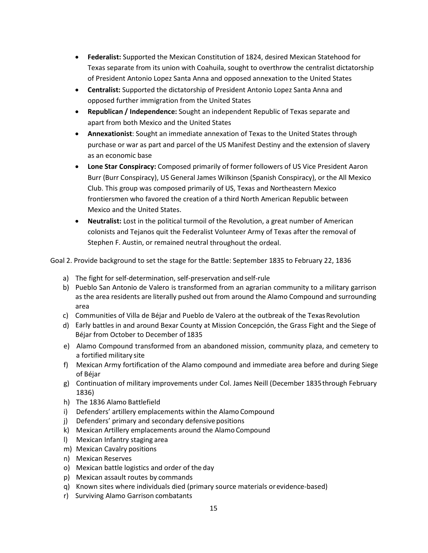- **Federalist:** Supported the Mexican Constitution of 1824, desired Mexican Statehood for Texas separate from its union with Coahuila, sought to overthrow the centralist dictatorship of President Antonio Lopez Santa Anna and opposed annexation to the United States
- **Centralist:** Supported the dictatorship of President Antonio Lopez Santa Anna and opposed further immigration from the United States
- **Republican / Independence:** Sought an independent Republic of Texas separate and apart from both Mexico and the United States
- **Annexationist**: Sought an immediate annexation of Texas to the United States through purchase or war as part and parcel of the US Manifest Destiny and the extension of slavery as an economic base
- **Lone Star Conspiracy:** Composed primarily of former followers of US Vice President Aaron Burr (Burr Conspiracy), US General James Wilkinson (Spanish Conspiracy), or the All Mexico Club. This group was composed primarily of US, Texas and Northeastern Mexico frontiersmen who favored the creation of a third North American Republic between Mexico and the United States.
- **Neutralist:** Lost in the political turmoil of the Revolution, a great number of American colonists and Tejanos quit the Federalist Volunteer Army of Texas after the removal of Stephen F. Austin, or remained neutral throughout the ordeal.

Goal 2. Provide background to set the stage for the Battle: September 1835 to February 22, 1836

- a) The fight for self-determination, self-preservation and self-rule
- b) Pueblo San Antonio de Valero is transformed from an agrarian community to a military garrison as the area residents are literally pushed out from around the Alamo Compound and surrounding area
- c) Communities of Villa de Béjar and Pueblo de Valero at the outbreak of the Texas Revolution
- d) Early battles in and around Bexar County at Mission Concepción, the Grass Fight and the Siege of Béjar from October to December of 1835
- e) Alamo Compound transformed from an abandoned mission, community plaza, and cemetery to a fortified military site
- f) Mexican Army fortification of the Alamo compound and immediate area before and during Siege of Béjar
- g) Continuation of military improvements under Col. James Neill (December 1835through February 1836)
- h) The 1836 Alamo Battlefield
- i) Defenders' artillery emplacements within the Alamo Compound
- j) Defenders' primary and secondary defensive positions
- k) Mexican Artillery emplacements around the Alamo Compound
- l) Mexican Infantry staging area
- m) Mexican Cavalry positions
- n) Mexican Reserves
- o) Mexican battle logistics and order of the day
- p) Mexican assault routes by commands
- q) Known sites where individuals died (primary source materials orevidence‐based)
- r) Surviving Alamo Garrison combatants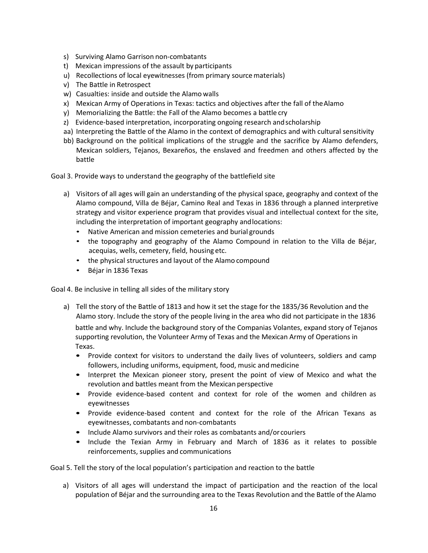- s) Surviving Alamo Garrison non-combatants
- t) Mexican impressions of the assault by participants
- u) Recollections of local eyewitnesses (from primary sourcematerials)
- v) The Battle in Retrospect
- w) Casualties: inside and outside the Alamo walls
- x) Mexican Army of Operations in Texas: tactics and objectives after the fall of theAlamo
- y) Memorializing the Battle: the Fall of the Alamo becomes a battle cry
- z) Evidence-based interpretation, incorporating ongoing research and scholarship
- aa) Interpreting the Battle of the Alamo in the context of demographics and with cultural sensitivity
- bb) Background on the political implications of the struggle and the sacrifice by Alamo defenders, Mexican soldiers, Tejanos, Bexareños, the enslaved and freedmen and others affected by the battle

Goal 3. Provide ways to understand the geography of the battlefield site

- a) Visitors of all ages will gain an understanding of the physical space, geography and context of the Alamo compound, Villa de Béjar, Camino Real and Texas in 1836 through a planned interpretive strategy and visitor experience program that provides visual and intellectual context for the site, including the interpretation of important geography andlocations:
	- Native American and mission cemeteries and burial grounds
	- the topography and geography of the Alamo Compound in relation to the Villa de Béjar, acequias, wells, cemetery, field, housing etc.
	- the physical structures and layout of the Alamo compound
	- Béjar in 1836 Texas

Goal 4. Be inclusive in telling all sides of the military story

- a) Tell the story of the Battle of 1813 and how it set the stage for the 1835/36 Revolution and the Alamo story. Include the story of the people living in the area who did not participate in the 1836 battle and why. Include the background story of the Companias Volantes, expand story of Tejanos supporting revolution, the Volunteer Army of Texas and the Mexican Army of Operations in Texas.
	- Provide context for visitors to understand the daily lives of volunteers, soldiers and camp followers, including uniforms, equipment, food, music and medicine
	- Interpret the Mexican pioneer story, present the point of view of Mexico and what the revolution and battles meant from the Mexican perspective
	- Provide evidence-based content and context for role of the women and children as eyewitnesses
	- Provide evidence-based content and context for the role of the African Texans as eyewitnesses, combatants and non‐combatants
	- Include Alamo survivors and their roles as combatants and/or couriers
	- Include the Texian Army in February and March of 1836 as it relates to possible reinforcements, supplies and communications

Goal 5. Tell the story of the local population's participation and reaction to the battle

a) Visitors of all ages will understand the impact of participation and the reaction of the local population of Béjar and the surrounding area to the Texas Revolution and the Battle of the Alamo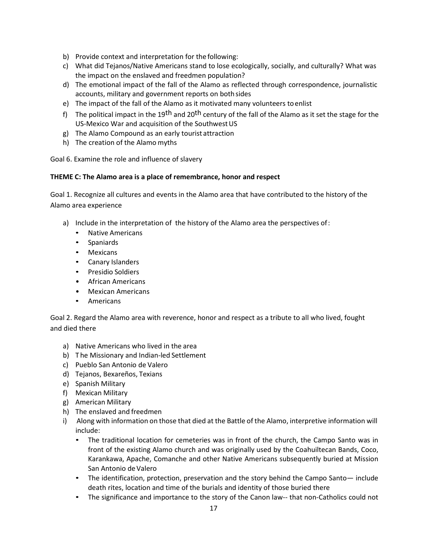- b) Provide context and interpretation for the following:
- c) What did Tejanos/Native Americans stand to lose ecologically, socially, and culturally? What was the impact on the enslaved and freedmen population?
- d) The emotional impact of the fall of the Alamo as reflected through correspondence, journalistic accounts, military and government reports on bothsides
- e) The impact of the fall of the Alamo as it motivated many volunteers toenlist
- f) The political impact in the 19<sup>th</sup> and 20<sup>th</sup> century of the fall of the Alamo as it set the stage for the US-Mexico War and acquisition of the Southwest US
- g) The Alamo Compound as an early tourist attraction
- h) The creation of the Alamo myths

Goal 6. Examine the role and influence of slavery

### **THEME C: The Alamo area is a place of remembrance, honor and respect**

Goal 1. Recognize all cultures and events in the Alamo area that have contributed to the history of the Alamo area experience

- a) Include in the interpretation of the history of the Alamo area the perspectives of:
	- Native Americans
	- Spaniards
	- Mexicans
	- Canary Islanders
	- Presidio Soldiers
	- African Americans
	- Mexican Americans
	- Americans

Goal 2. Regard the Alamo area with reverence, honor and respect as a tribute to all who lived, fought and died there

- a) Native Americans who lived in the area
- b) The Missionary and Indian-led Settlement
- c) Pueblo San Antonio de Valero
- d) Tejanos, Bexareños, Texians
- e) Spanish Military
- f) Mexican Military
- g) American Military
- h) The enslaved and freedmen
- i) Along with information on those that died at the Battle of the Alamo, interpretive information will include:
	- The traditional location for cemeteries was in front of the church, the Campo Santo was in front of the existing Alamo church and was originally used by the Coahuiltecan Bands, Coco, Karankawa, Apache, Comanche and other Native Americans subsequently buried at Mission San Antonio de Valero
	- The identification, protection, preservation and the story behind the Campo Santo— include death rites, location and time of the burials and identity of those buried there
	- The significance and importance to the story of the Canon law-- that non-Catholics could not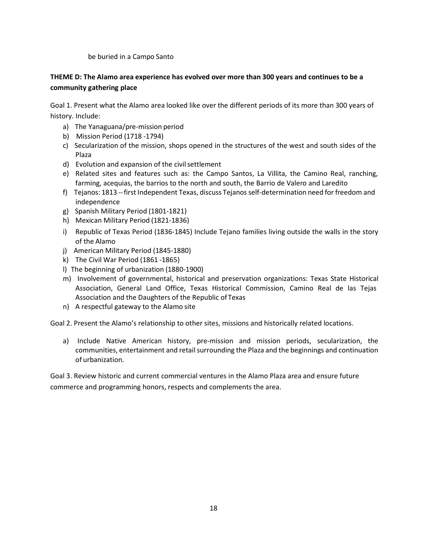be buried in a Campo Santo

# **THEME D: The Alamo area experience has evolved over more than 300 years and continues to be a community gathering place**

Goal 1. Present what the Alamo area looked like over the different periods of its more than 300 years of history. Include:

- a) The Yanaguana/pre-mission period
- b) Mission Period (1718 ‐1794)
- c) Secularization of the mission, shops opened in the structures of the west and south sides of the Plaza
- d) Evolution and expansion of the civil settlement
- e) Related sites and features such as: the Campo Santos, La Villita, the Camino Real, ranching, farming, acequias, the barrios to the north and south, the Barrio de Valero and Laredito
- f) Tejanos: 1813 -- first Independent Texas, discuss Tejanos self-determination need for freedom and independence
- g) Spanish Military Period (1801‐1821)
- h) Mexican Military Period (1821‐1836)
- i) Republic of Texas Period (1836‐1845) Include Tejano families living outside the walls in the story of the Alamo
- j) American Military Period (1845-1880)
- k) The Civil War Period (1861 ‐1865)
- l) The beginning of urbanization (1880‐1900)
- m) Involvement of governmental, historical and preservation organizations: Texas State Historical Association, General Land Office, Texas Historical Commission, Camino Real de las Tejas Association and the Daughters of the Republic ofTexas
- n) A respectful gateway to the Alamo site

Goal 2. Present the Alamo's relationship to other sites, missions and historically related locations.

a) Include Native American history, pre-mission and mission periods, secularization, the communities, entertainment and retail surrounding the Plaza and the beginnings and continuation of urbanization.

Goal 3. Review historic and current commercial ventures in the Alamo Plaza area and ensure future commerce and programming honors, respects and complements the area.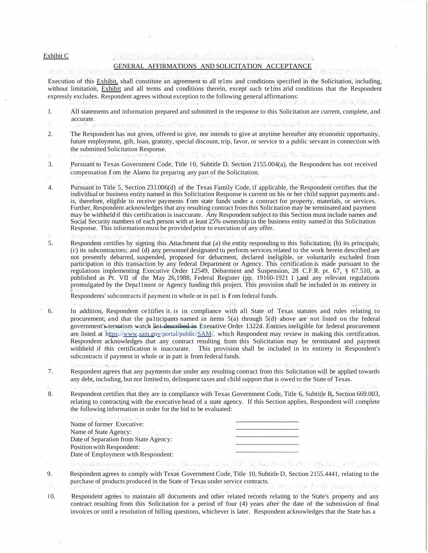#### Exhibit C

#### GENERAL AFFIRMATIONS AND SOLICITATION ACCEPTANCE

Execution of this Exhibit, shall constitute an agreement to all te1ms and conditions specified in the Solicitation, including, without limitation, Exhibit and all terms and conditions therein, except such te1ms arid conditions that the Respondent expressly excludes. Respondent agrees without exception to the following general affirmations:

- l. All statements and information prepared and submitted in the response to this Solicitation are current, complete, and accurate.
- 2. The Respondent has not given, offered to give, nor intends to give at anytime hereafter any economic opportunity, future employment, gift, loan, gratuity, special discount, trip, favor, or service to a public servant in connection with the submitted Solicitation Response.
- 3. Pursuant to Texas Government Code, Title 10, Subtitle D, Section 2155.004(a), the Respondent has not received compensation f om the Alamo for preparing any part of the Solicitation.
- 4. Pursuant to Title 5, Section 23 l.006(d) of the Texas Family Code, if applicable, the Respondent certifies that the individual or business entity named in this Solicitation Response is current on his or her child support payments and r is, therefore, eligible to receive payments f om state funds under a contract for property, materials, or services. Further, Respondent acknowledges that any resulting contract from this Solicitation may be terminated and payment may be withheld if this certification is inaccurate. Any Respondent subject to this Section must include names and Social Security numbers of each person with at least 25% ownership in the business entity named in this Solicitation Response. This information must be provided prior to execution of any offer.
- 5. Respondent certifies by signing this Attachment that (a) the entity responding to this Solicitation; (b) its principals; (c) its subcontractors; and (d) any personnel designated to perform services related to the work herein described are not presently debarred, suspended, proposed for debarment, declared ineligible, or voluntarily excluded from participation in this transaction by any federal Department or Agency. This certification is made pursuant to the regulations implementing Executive Order 12549, Debarment and Suspension, 28 C.F.R. pt. 67, § 67.510, as published as Pt. VII of the May 26,1988, Federal Register (pp. 19160-1921 1 ),and any relevant regulations promulgated by the Depa11ment or Agency funding this project. This provision shall be included in its entirety in

r Respondents' subcontracts if payment in whole or in pat1 is f om federal funds.

- 6. In addition, Respondent ce1tifies it is in compliance with all State of Texas statutes and rules relating to procurement; and that the pa1ticipants named in items  $5(a)$  through  $5(d)$  above are not listed on the federal government's terrorism watch list described in Executive Order 13224. Entities ineligible for federal procurement are listed at https://www.sam.gov/portal/public/SAM/, which Respondent may review in making this certification. Respondent acknowledges that any contract resulting from this Solicitation may be terminated and payment withheld if this certification is inaccurate. This provision shall be included in its entirety in Respondent's subcontracts if payment in whole or in patt is from federal funds.
- 7. Respondent agrees that any payments due under any resulting contract from this Solicitation will be applied towards any debt, including, but not limited to, delinquent taxes and child support that is owed to the State of Texas.
- 8. Respondent certifies that they are in compliance with Texas Government Code, Title 6, Subtitle B, Section 669.003, relating to contracting with the executive head of a state agency. If this Section applies, Respondent will complete the following information in order for the bid to be evaluated:

| Name of former Executive:             |  |
|---------------------------------------|--|
| Name of State Agency:                 |  |
| Date of Separation from State Agency: |  |
| Position with Respondent:             |  |
| Date of Employment with Respondent:   |  |

9. Respondent agrees to comply with Texas Government Code, Title 10, Subtitle D, Section 2155.4441, relating to the purchase of products produced in the State of Texas under service contracts.

the Jan Torrison (1997), José Horney and profit an

I0. Respondent agrees to maintain all documents and other related records relating to the State's property and any contract resulting from this Solicitation for a period of four (4) years after the date of the submission of final invoices or until a resolution of billing questions, whichever is later. Respondent acknowledges that the State has a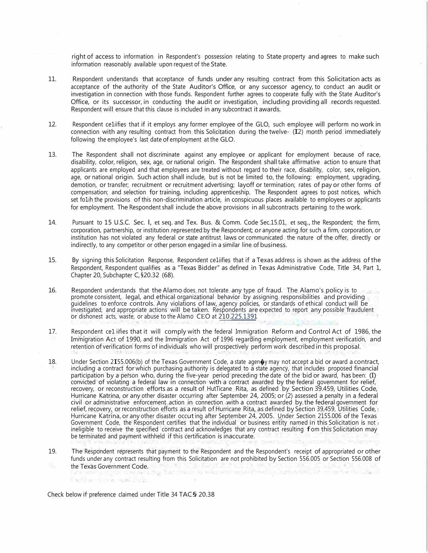right of access to information in Respondent's possession relating to State property and agrees to make such information reasonably available upon request of the State.

- 11. Respondent understands that acceptance of funds under any resulting contract from this Solicitation acts as acceptance of the authority of the State Auditor's Office, or any successor agency, to conduct an audit or investigation in connection with those funds. Respondent further agrees to cooperate fully with the State Auditor's Office, or its successor, in conducting the audit or investigation, including providing all records requested. Respondent will ensure that this clause is included in any subcontract it awards.
- 12. Respondent ce1iifies that if it employs any former employee of the GLO, such employee will perform no work in connection with any resulting contract from this Solicitation during the twelve- (I2) month period immediately following the employee's last date of employment at the GLO.
- 13. The Respondent shall not discriminate against any employee or applicant for employment because of race, disability, color, religion, sex, age, or national origin. The Respondent shall take affirmative action to ensure that applicants are employed and that employees are treated without regard to their race, disability, color, sex, religion, age, or national origin. Such action shall include, but is not be limited to, the following: employment, upgrading, demotion, or transfer; recruitment or recruitment advertising; layoff or termination; rates of pay or other forms of compensation; and selection for training, including apprenticeship. The Respondent agrees to post notices, which set fo1ih the provisions of this non-discrimination article, in conspicuous places available to employees or applicants for employment. The Respondent shall include the above provisions in all subcontracts pertaining to the work.
- 14. Pursuant to 15 U.S.C. Sec. l, et seq. and Tex. Bus. & Comm. Code Sec.15.01, et seq., the Respondent; the firm, corporation, partnership, or institution represented by the Respondent; or anyone acting for such a firm, corporation, or institution has not violated any federal or state antitrust laws or communicated the nature of the offer, directly or indirectly, to any competitor or other person engaged in a similar line of business.
- 15. By signing this Solicitation Response, Respondent ce1iifies that if a Texas address is shown as the address of the Respondent, Respondent qualifies as a "Texas Bidder" as defined in Texas Administrative Code, Title 34, Part 1, Chapter 20, Subchapter C, §20.32 (68).
- 16. Respondent understands that the Alamo does not tolerate any type of fraud. The Alamo's policy is to promote consistent, legal, and ethical organizational behavior by assigning responsibilities and providing guidelines to enforce controls. Any violations of law, agency policies, or standards of ethical conduct will be investigated, and appropriate actions will be taken. Respondents are expected to report any possible fraudulent or dishonest acts, waste, or abuse to the Alamo CEO at 210.225.1391
- 17. Respondent ce1 iifies that it will comply with the federal Immigration Reform and Control Act of 1986, the Immigration Act of 1990, and the Immigration Act of 1996 regarding employment, employment verification, and retention of verification forms of individuals who will prospectively perform work described in this proposal.
- 18. Under Section 2155.006(b) of the Texas Government Code, a state agen $\phi$ y may not accept a bid or award a contract, including a contract for which purchasing authority is delegated to a state agency, that includes proposed financial participation by a person who, during the five-year period preceding the date of the bid or award, has been: (I) convicted of violating a federal law in connection with a contract awarded by the federal government for relief, recovery, or reconstruction efforts as a result of HutTicane Rita, as defined by Section 39.459, Utilities Code, Hurricane Katrina, or any other disaster occurring after September 24, 2005; or (2) assessed a penalty in a federal civil or administrative enforcement action in connection with a contract awarded by the federal government for relief, recovery, or reconstruction efforts as a result of Hurricane Rita, as defined by Section 39.459, Utilities Code, t Hurricane Katrina, or any other disaster occuting after September 24, 2005. Under Section 2155.006 of the Texas Government Code, the Respondent certifies that the individual or business entity named in this Solicitation is not  $r$ ineligible to receive the specified contract and acknowledges that any contract resulting fom this Solicitation may be terminated and payment withheld if this certification is inaccurate.
- 19. The Respondent represents that payment to the Respondent and the Respondent's receipt of appropriated or other funds under any contract resulting from this Solicitation are not prohibited by Section 556.005 or Section 556.008 of

the Texas Government Code. and provide personal Pole of Day Grand and Office finding time well-lab. Check below if preference claimed under Title 34 TAC§ 20.38